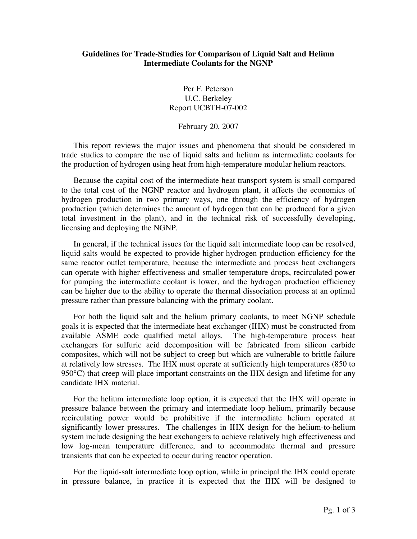## **Guidelines for Trade-Studies for Comparison of Liquid Salt and Helium Intermediate Coolants for the NGNP**

Per F. Peterson U.C. Berkeley Report UCBTH-07-002

February 20, 2007

This report reviews the major issues and phenomena that should be considered in trade studies to compare the use of liquid salts and helium as intermediate coolants for the production of hydrogen using heat from high-temperature modular helium reactors.

Because the capital cost of the intermediate heat transport system is small compared to the total cost of the NGNP reactor and hydrogen plant, it affects the economics of hydrogen production in two primary ways, one through the efficiency of hydrogen production (which determines the amount of hydrogen that can be produced for a given total investment in the plant), and in the technical risk of successfully developing, licensing and deploying the NGNP.

In general, if the technical issues for the liquid salt intermediate loop can be resolved, liquid salts would be expected to provide higher hydrogen production efficiency for the same reactor outlet temperature, because the intermediate and process heat exchangers can operate with higher effectiveness and smaller temperature drops, recirculated power for pumping the intermediate coolant is lower, and the hydrogen production efficiency can be higher due to the ability to operate the thermal dissociation process at an optimal pressure rather than pressure balancing with the primary coolant.

For both the liquid salt and the helium primary coolants, to meet NGNP schedule goals it is expected that the intermediate heat exchanger (IHX) must be constructed from available ASME code qualified metal alloys. The high-temperature process heat exchangers for sulfuric acid decomposition will be fabricated from silicon carbide composites, which will not be subject to creep but which are vulnerable to brittle failure at relatively low stresses. The IHX must operate at sufficiently high temperatures (850 to  $950^{\circ}$ C) that creep will place important constraints on the IHX design and lifetime for any candidate IHX material.

For the helium intermediate loop option, it is expected that the IHX will operate in pressure balance between the primary and intermediate loop helium, primarily because recirculating power would be prohibitive if the intermediate helium operated at significantly lower pressures. The challenges in IHX design for the helium-to-helium system include designing the heat exchangers to achieve relatively high effectiveness and low log-mean temperature difference, and to accommodate thermal and pressure transients that can be expected to occur during reactor operation.

For the liquid-salt intermediate loop option, while in principal the IHX could operate in pressure balance, in practice it is expected that the IHX will be designed to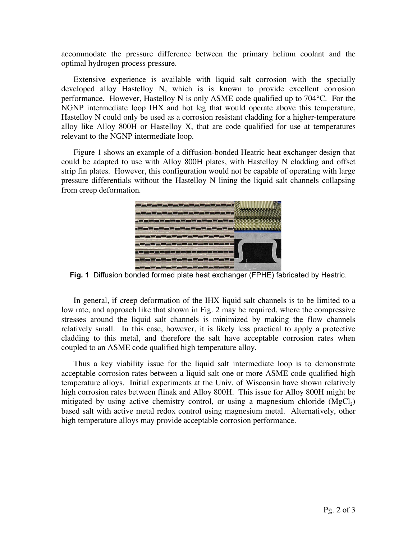accommodate the pressure difference between the primary helium coolant and the optimal hydrogen process pressure.

Extensive experience is available with liquid salt corrosion with the specially developed alloy Hastelloy N, which is is known to provide excellent corrosion performance. However, Hastelloy N is only ASME code qualified up to 704°C. For the NGNP intermediate loop IHX and hot leg that would operate above this temperature, Hastelloy N could only be used as a corrosion resistant cladding for a higher-temperature alloy like Alloy 800H or Hastelloy X, that are code qualified for use at temperatures relevant to the NGNP intermediate loop.

Figure 1 shows an example of a diffusion-bonded Heatric heat exchanger design that could be adapted to use with Alloy 800H plates, with Hastelloy N cladding and offset strip fin plates. However, this configuration would not be capable of operating with large pressure differentials without the Hastelloy N lining the liquid salt channels collapsing from creep deformation.



**Fig. 1** Diffusion bonded formed plate heat exchanger (FPHE) fabricated by Heatric.

In general, if creep deformation of the IHX liquid salt channels is to be limited to a low rate, and approach like that shown in Fig. 2 may be required, where the compressive stresses around the liquid salt channels is minimized by making the flow channels relatively small. In this case, however, it is likely less practical to apply a protective cladding to this metal, and therefore the salt have acceptable corrosion rates when coupled to an ASME code qualified high temperature alloy.

Thus a key viability issue for the liquid salt intermediate loop is to demonstrate acceptable corrosion rates between a liquid salt one or more ASME code qualified high temperature alloys. Initial experiments at the Univ. of Wisconsin have shown relatively high corrosion rates between flinak and Alloy 800H. This issue for Alloy 800H might be mitigated by using active chemistry control, or using a magnesium chloride  $(MgCl<sub>2</sub>)$ based salt with active metal redox control using magnesium metal. Alternatively, other high temperature alloys may provide acceptable corrosion performance.